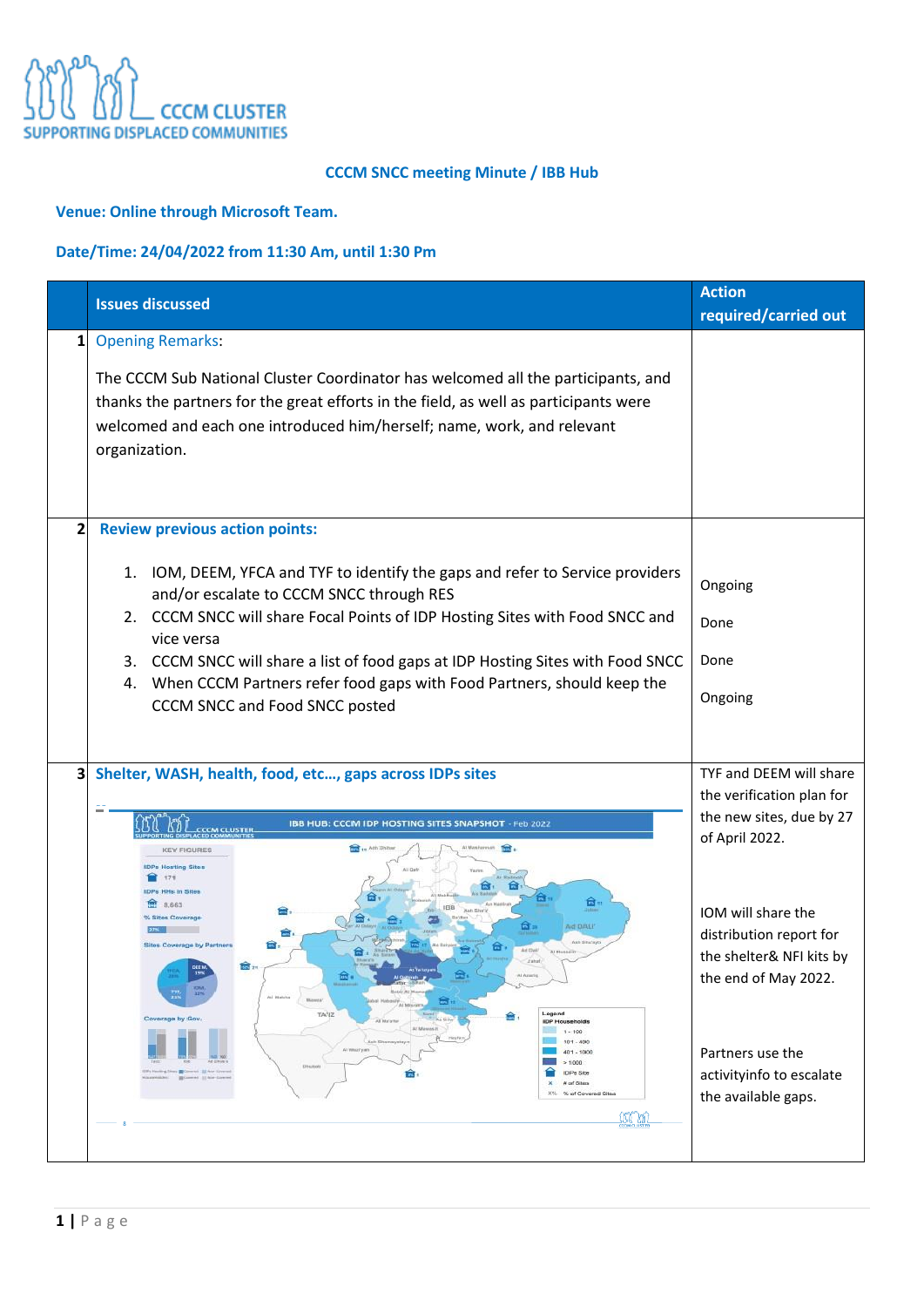

### **CCCM SNCC meeting Minute / IBB Hub**

### **Venue: Online through Microsoft Team.**

## **Date/Time: 24/04/2022 from 11:30 Am, until 1:30 Pm**

|                         | <b>Issues discussed</b>                                                                                                                                                                                                                                                                                                                                                                                                                                                                    | <b>Action</b><br>required/carried out                                                                                                                                                                                                                                          |
|-------------------------|--------------------------------------------------------------------------------------------------------------------------------------------------------------------------------------------------------------------------------------------------------------------------------------------------------------------------------------------------------------------------------------------------------------------------------------------------------------------------------------------|--------------------------------------------------------------------------------------------------------------------------------------------------------------------------------------------------------------------------------------------------------------------------------|
| 1                       | <b>Opening Remarks:</b><br>The CCCM Sub National Cluster Coordinator has welcomed all the participants, and<br>thanks the partners for the great efforts in the field, as well as participants were<br>welcomed and each one introduced him/herself; name, work, and relevant<br>organization.                                                                                                                                                                                             |                                                                                                                                                                                                                                                                                |
| $\overline{\mathbf{c}}$ | <b>Review previous action points:</b><br>1. IOM, DEEM, YFCA and TYF to identify the gaps and refer to Service providers<br>and/or escalate to CCCM SNCC through RES<br>2. CCCM SNCC will share Focal Points of IDP Hosting Sites with Food SNCC and<br>vice versa<br>3. CCCM SNCC will share a list of food gaps at IDP Hosting Sites with Food SNCC<br>4. When CCCM Partners refer food gaps with Food Partners, should keep the<br>CCCM SNCC and Food SNCC posted                        | Ongoing<br>Done<br>Done<br>Ongoing                                                                                                                                                                                                                                             |
| 3                       | Shelter, WASH, health, food, etc, gaps across IDPs sites<br>IBB HUB: CCCM IDP HOSTING SITES SNAPSHOT - Feb 2022<br><b>CCCM CLUSTER</b><br>11 Ath Dan<br><b>KEY FIGURES</b><br><b>DPs Hosting Sites</b><br>171<br><b>DPs HHs in Sites</b><br>ত্র,<br>8.663<br><b>Id DALP</b><br>TA'IZ<br>Legend<br>Coverage by Gov.<br><b>IDP Households</b><br>$1 - 100$<br>$101 - 400$<br>All Weathy are<br>401 - 1000<br>>1000<br>Diskins<br><b>IDPs Ste</b><br># of Sites<br>% of Covered Sites<br>36 M | TYF and DEEM will share<br>the verification plan for<br>the new sites, due by 27<br>of April 2022.<br>IOM will share the<br>distribution report for<br>the shelter& NFI kits by<br>the end of May 2022.<br>Partners use the<br>activityinfo to escalate<br>the available gaps. |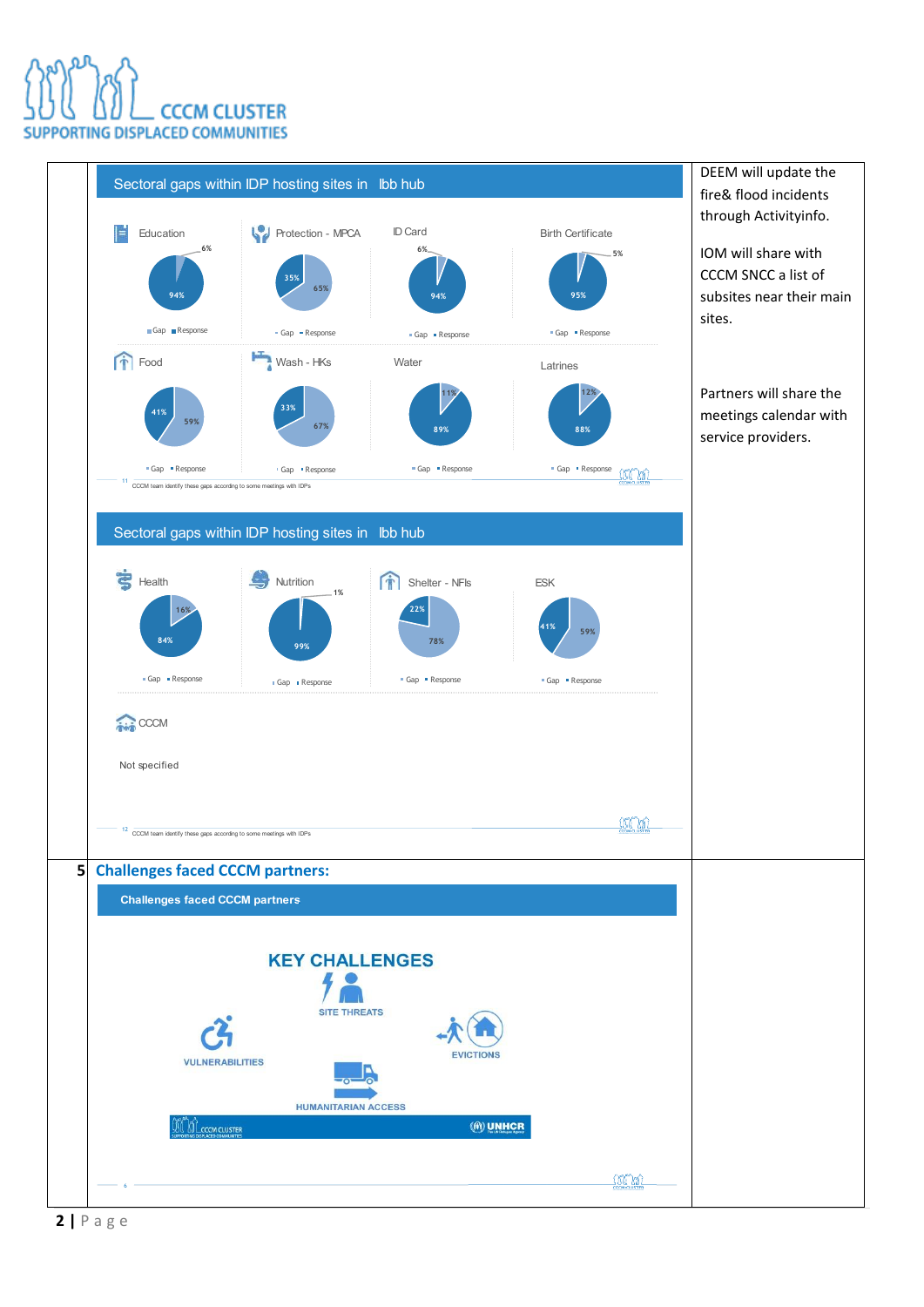# **CCCM CLUSTER** PORTING DISPLACED COMMUNITIES